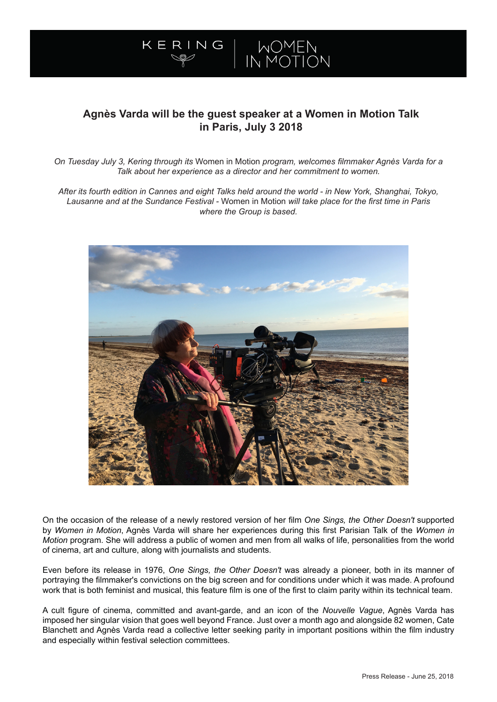

N G

KERI

MOMEN<br>IN MOTION

*On Tuesday July 3, Kering through its* Women in Motion *program, welcomes filmmaker Agnès Varda for a Talk about her experience as a director and her commitment to women.*

*After its fourth edition in Cannes and eight Talks held around the world - in New York, Shanghai, Tokyo, Lausanne and at the Sundance Festival -* Women in Motion *will take place for the first time in Paris where the Group is based.*



On the occasion of the release of a newly restored version of her film *One Sings, the Other Doesn't* supported by *Women in Motion*, Agnès Varda will share her experiences during this first Parisian Talk of the *Women in Motion* program. She will address a public of women and men from all walks of life, personalities from the world of cinema, art and culture, along with journalists and students.

Even before its release in 1976, *One Sings, the Other Doesn't* was already a pioneer, both in its manner of portraying the filmmaker's convictions on the big screen and for conditions under which it was made. A profound work that is both feminist and musical, this feature film is one of the first to claim parity within its technical team.

A cult figure of cinema, committed and avant-garde, and an icon of the *Nouvelle Vague*, Agnès Varda has imposed her singular vision that goes well beyond France. Just over a month ago and alongside 82 women, Cate Blanchett and Agnès Varda read a collective letter seeking parity in important positions within the film industry and especially within festival selection committees.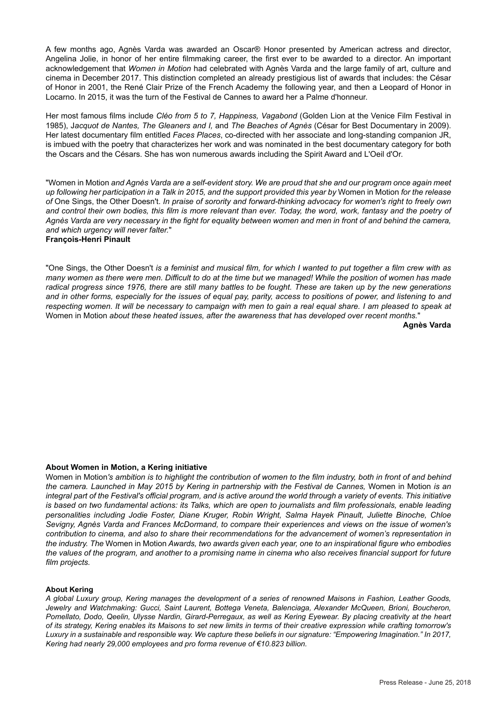A few months ago, Agnès Varda was awarded an Oscar® Honor presented by American actress and director, Angelina Jolie, in honor of her entire filmmaking career, the first ever to be awarded to a director. An important acknowledgement that *Women in Motion* had celebrated with Agnès Varda and the large family of art, culture and cinema in December 2017. This distinction completed an already prestigious list of awards that includes: the César of Honor in 2001, the René Clair Prize of the French Academy the following year, and then a Leopard of Honor in Locarno. In 2015, it was the turn of the Festival de Cannes to award her a Palme d'honneur.

Her most famous films include *Cléo from 5 to 7, Happiness, Vagabond* (Golden Lion at the Venice Film Festival in 1985), J*acquot de Nantes, The Gleaners and I,* and *The Beaches of Agnès* (César for Best Documentary in 2009). Her latest documentary film entitled *Faces Places*, co-directed with her associate and long-standing companion JR, is imbued with the poetry that characterizes her work and was nominated in the best documentary category for both the Oscars and the Césars. She has won numerous awards including the Spirit Award and L'Oeil d'Or.

"Women in Motion *and Agnès Varda are a self-evident story. We are proud that she and our program once again meet up following her participation in a Talk in 2015, and the support provided this year by* Women in Motion *for the release of* One Sings, the Other Doesn't. *In praise of sorority and forward-thinking advocacy for women's right to freely own*  and control their own bodies, this film is more relevant than ever. Today, the word, work, fantasy and the poetry of *Agnès Varda are very necessary in the fight for equality between women and men in front of and behind the camera, and which urgency will never falter.*" **François-Henri Pinault**

"One Sings, the Other Doesn't *is a feminist and musical film, for which I wanted to put together a film crew with as many women as there were men. Difficult to do at the time but we managed! While the position of women has made radical progress since 1976, there are still many battles to be fought. These are taken up by the new generations and in other forms, especially for the issues of equal pay, parity, access to positions of power, and listening to and*  respecting women. It will be necessary to campaign with men to gain a real equal share. I am pleased to speak at Women in Motion *about these heated issues, after the awareness that has developed over recent months.*"

**Agnès Varda**

## **About Women in Motion, a Kering initiative**

Women in Motion*'s ambition is to highlight the contribution of women to the film industry, both in front of and behind the camera. Launched in May 2015 by Kering in partnership with the Festival de Cannes,* Women in Motion *is an integral part of the Festival's official program, and is active around the world through a variety of events. This initiative is based on two fundamental actions: its Talks, which are open to journalists and film professionals, enable leading personalities including Jodie Foster, Diane Kruger, Robin Wright, Salma Hayek Pinault, Juliette Binoche, Chloe Sevigny, Agnès Varda and Frances McDormand, to compare their experiences and views on the issue of women's contribution to cinema, and also to share their recommendations for the advancement of women's representation in the industry. The* Women in Motion *Awards, two awards given each year, one to an inspirational figure who embodies the values of the program, and another to a promising name in cinema who also receives financial support for future film projects.*

## **About Kering**

*A global Luxury group, Kering manages the development of a series of renowned Maisons in Fashion, Leather Goods, Jewelry and Watchmaking: Gucci, Saint Laurent, Bottega Veneta, Balenciaga, Alexander McQueen, Brioni, Boucheron, Pomellato, Dodo, Qeelin, Ulysse Nardin, Girard-Perregaux, as well as Kering Eyewear. By placing creativity at the heart of its strategy, Kering enables its Maisons to set new limits in terms of their creative expression while crafting tomorrow's Luxury in a sustainable and responsible way. We capture these beliefs in our signature: "Empowering Imagination." In 2017, Kering had nearly 29,000 employees and pro forma revenue of €10.823 billion.*